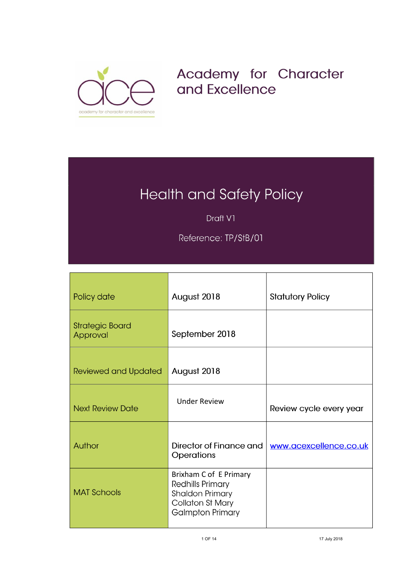

## Academy for Character and Excellence

## **Health and Safety Policy**

Draft V1

Reference: TP/StB/01

| Policy date                        | August 2018                                                                                                                | <b>Statutory Policy</b> |
|------------------------------------|----------------------------------------------------------------------------------------------------------------------------|-------------------------|
| <b>Strategic Board</b><br>Approval | September 2018                                                                                                             |                         |
| <b>Reviewed and Updated</b>        | August 2018                                                                                                                |                         |
| <b>Next Review Date</b>            | <b>Under Review</b>                                                                                                        | Review cycle every year |
| Author                             | Director of Finance and<br><b>Operations</b>                                                                               | www.acexcellence.co.uk  |
| <b>MAT Schools</b>                 | Brixham C of E Primary<br>Redhills Primary<br><b>Shaldon Primary</b><br><b>Collaton St Mary</b><br><b>Galmpton Primary</b> |                         |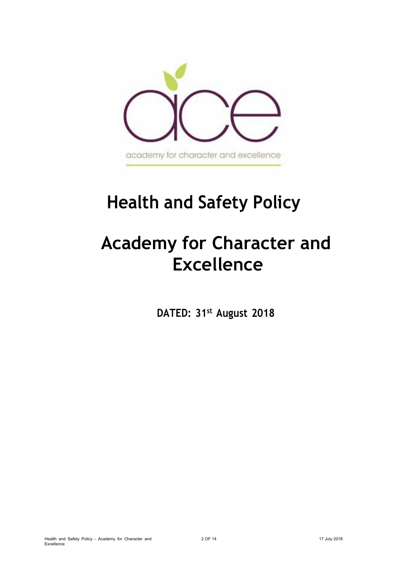

# **Health and Safety Policy**

# **Academy for Character and Excellence**

**DATED: 31st August 2018**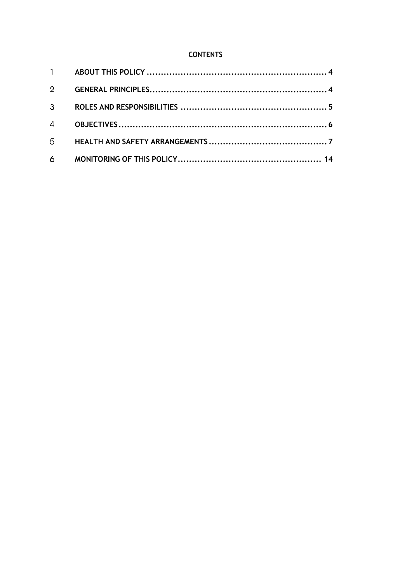## **CONTENTS**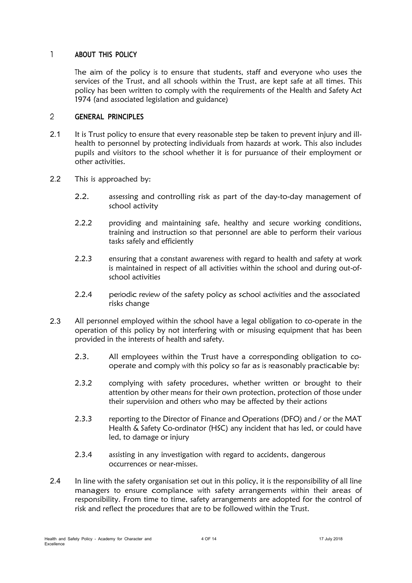#### $\mathbf{1}$ **ABOUT THIS POLICY**

<span id="page-3-0"></span>The aim of the policy is to ensure that students, staff and everyone who uses the services of the Trust, and all schools within the Trust, are kept safe at all times. This policy has been written to comply with the requirements of the Health and Safety Act 1974 (and associated legislation and guidance)

#### <span id="page-3-1"></span> $\overline{2}$ **GENERAL PRINCIPLES**

- It is Trust policy to ensure that every reasonable step be taken to prevent injury and illhealth to personnel by protecting individuals from hazards at work. This also includes pupils and visitors to the school whether it is for pursuance of their employment or other activities. 2.1
- 2.2 This is approached by:
	- 2.2. assessing and controlling risk as part of the day-to-day management of school activity
	- 2.2.2 providing and maintaining safe, healthy and secure working conditions, training and instruction so that personnel are able to perform their various tasks safely and efficiently
	- 2.2.3 ensuring that a constant awareness with regard to health and safety at work is maintained in respect of all activities within the school and during out-ofschool activities
	- 2.2.4 periodic review of the safety policy as school activities and the associated risks change
- 2.3 All personnel employed within the school have a legal obligation to co-operate in the operation of this policy by not interfering with or misusing equipment that has been provided in the interests of health and safety.
	- 2.3. All employees within the Trust have a corresponding obligation to cooperate and comply with this policy so far as is reasonably practicable by:
	- 2.3.2 complying with safety procedures, whether written or brought to their attention by other means for their own protection, protection of those under their supervision and others who may be affected by their actions
	- 2.3.3 reporting to the Director of Finance and Operations (DFO) and / or the MAT Health & Safety Co-ordinator (HSC) any incident that has led, or could have led, to damage or injury
	- 2.3.4 assisting in any investigation with regard to accidents, dangerous occurrences or near-misses.
- In line with the safety organisation set out in this policy, it is the responsibility of all line managers to ensure compliance with safety arrangements within their areas of responsibility. From time to time, safety arrangements are adopted for the control of risk and reflect the procedures that are to be followed within the Trust. 2.4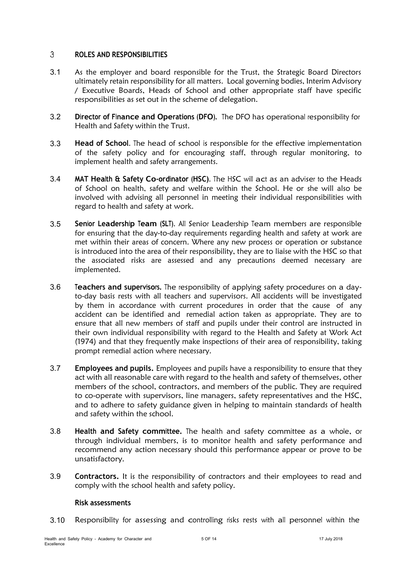#### <span id="page-4-0"></span> $\mathbf{3}$ **ROLES AND RESPONSIBILITIES**

- As the employer and board responsible for the Trust, the Strategic Board Directors ultimately retain responsibility for all matters. Local governing bodies, Interim Advisory / Executive Boards, Heads of School and other appropriate staff have specific responsibilities as set out in the scheme of delegation. 3.1
- 3.2 **Director of Finance and Operations (DFO).** The DFO has operational responsibility for Health and Safety within the Trust.
- **Head of School**. The head of school is responsible for the effective implementation of the safety policy and for encouraging staff, through regular monitoring, to implement health and safety arrangements. 3.3
- 3.4 **MAT Health & Safety Co-ordinator (HSC)**. The HSC will act as an adviser to the Heads of School on health, safety and welfare within the School. He or she will also be involved with advising all personnel in meeting their individual responsibilities with regard to health and safety at work.
- **Senior Leadership Team (SLT)**. All Senior Leadership Team members are responsible for ensuring that the day-to-day requirements regarding health and safety at work are met within their areas of concern. Where any new process or operation or substance is introduced into the area of their responsibility, they are to liaise with the HSC so that the associated risks are assessed and any precautions deemed necessary are implemented. 3.5
- 3.6 **Teachers and supervisors.** The responsibility of applying safety procedures on a dayto-day basis rests with all teachers and supervisors. All accidents will be investigated by them in accordance with current procedures in order that the cause of any accident can be identified and remedial action taken as appropriate. They are to ensure that all new members of staff and pupils under their control are instructed in their own individual responsibility with regard to the Health and Safety at Work Act (1974) and that they frequently make inspections of their area of responsibility, taking prompt remedial action where necessary.
- **Employees and pupils.** Employees and pupils have a responsibility to ensure that they act with all reasonable care with regard to the health and safety of themselves, other members of the school, contractors, and members of the public. They are required to co-operate with supervisors, line managers, safety representatives and the HSC, and to adhere to safety guidance given in helping to maintain standards of health and safety within the school. 3.7
- **Health and Safety committee.** The health and safety committee as a whole, or through individual members, is to monitor health and safety performance and recommend any action necessary should this performance appear or prove to be unsatisfactory. 3.8
- **Contractors.** It is the responsibility of contractors and their employees to read and comply with the school health and safety policy. 3.9

## **Risk assessments**

3.10 Responsibility for assessing and controlling risks rests with all personnel within the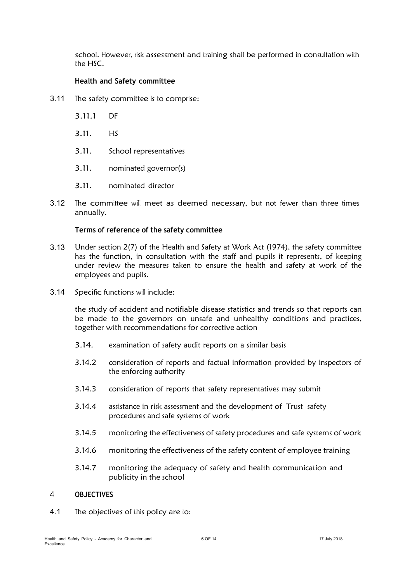school. However, risk assessment and training shall be performed in consultation with the HSC.

#### **Health and Safety committee**

- 3.11 The safety committee is to comprise:
	- 3.11.1 DF
	- 3.11. HS
	- 3.11. School representatives
	- 3.11. nominated governor(s)
	- 3.11. nominated director
- The committee will meet as deemed necessary, but not fewer than three times annually. 3.12

#### **Terms of reference of the safety committee**

- Under section 2(7) of the Health and Safety at Work Act (1974), the safety committee has the function, in consultation with the staff and pupils it represents, of keeping under review the measures taken to ensure the health and safety at work of the employees and pupils. 3.13
- 3.14 Specific functions will include:

the study of accident and notifiable disease statistics and trends so that reports can be made to the governors on unsafe and unhealthy conditions and practices, together with recommendations for corrective action

- 3.14. examination of safety audit reports on a similar basis
- 3.14.2 consideration of reports and factual information provided by inspectors of the enforcing authority
- 3.14.3 consideration of reports that safety representatives may submit
- 3.14.4 assistance in risk assessment and the development of Trust safety procedures and safe systems of work
- 3.14.5 monitoring the effectiveness of safety procedures and safe systems of work
- 3.14.6 monitoring the effectiveness of the safety content of employee training
- 3.14.7 monitoring the adequacy of safety and health communication and publicity in the school

#### <span id="page-5-0"></span> $\overline{4}$ **OBJECTIVES**

4.1 The objectives of this policy are to: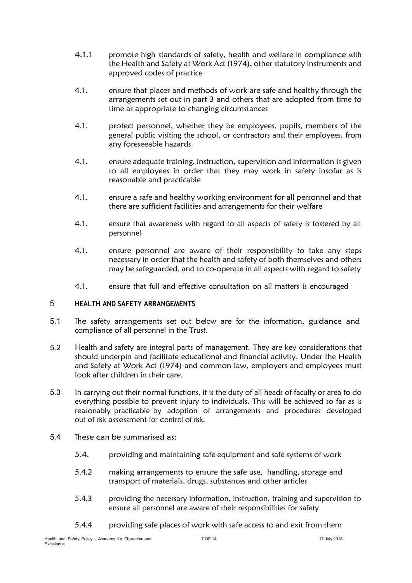- 4.1.1 promote high standards of safety, health and welfare in compliance with the Health and Safety at Work Act (1974), other statutory instruments and approved codes of practice
- 4.1. ensure that places and methods of work are safe and healthy through the arrangements set out in part 3 and others that are adopted from time to time as appropriate to changing circumstances
- 4.1. protect personnel, whether they be employees, pupils, members of the general public visiting the school, or contractors and their employees, from any foreseeable hazards
- 4.1. ensure adequate training, instruction, supervision and information is given to all employees in order that they may work in safety insofar as is reasonable and practicable
- 4.1. ensure a safe and healthy working environment for all personnel and that there are sufficient facilities and arrangements for their welfare
- 4.1. ensure that awareness with regard to all aspects of safety is fostered by all personnel
- 4.1. ensure personnel are aware of their responsibility to take any steps necessary in order that the health and safety of both themselves and others may be safeguarded, and to co-operate in all aspects with regard to safety
- <span id="page-6-0"></span>4.1. ensure that full and effective consultation on all matters is encouraged

#### 5 **HEALTH AND SAFETY ARRANGEMENTS**

- 5.1 The safety arrangements set out below are for the information, guidance and compliance of all personnel in the Trust.
- Health and safety are integral parts of management. They are key considerations that should underpin and facilitate educational and financial activity. Under the Health and Safety at Work Act (1974) and common law, employers and employees must look after children in their care. 5.2
- In carrying out their normal functions, it is the duty of all heads of faculty or area to do everything possible to prevent injury to individuals. This will be achieved so far as is reasonably practicable by adoption of arrangements and procedures developed out of risk assessment for control of risk. 5.3
- 5.4 These can be summarised as:
	- 5.4. providing and maintaining safe equipment and safe systems of work
	- 5.4.2 making arrangements to ensure the safe use, handling, storage and transport of materials, drugs, substances and other articles
	- 5.4.3 providing the necessary information, instruction, training and supervision to ensure all personnel are aware of their responsibilities for safety
	- 5.4.4 providing safe places of work with safe access to and exit from them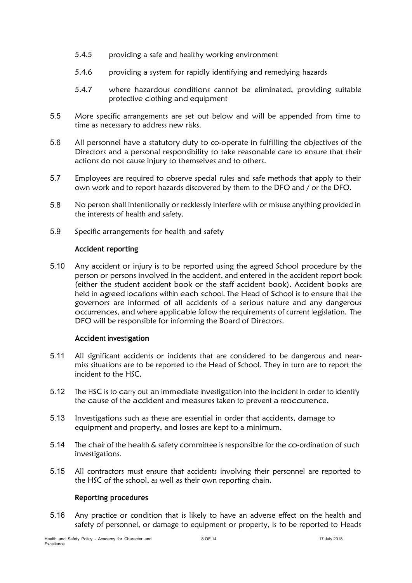- 5.4.5 providing a safe and healthy working environment
- 5.4.6 providing a system for rapidly identifying and remedying hazards
- 5.4.7 where hazardous conditions cannot be eliminated, providing suitable protective clothing and equipment
- 5.5 More specific arrangements are set out below and will be appended from time to time as necessary to address new risks.
- All personnel have a statutory duty to co-operate in fulfilling the objectives of the Directors and a personal responsibility to take reasonable care to ensure that their actions do not cause injury to themselves and to others. 5.6
- Employees are required to observe special rules and safe methods that apply to their own work and to report hazards discovered by them to the DFO and / or the DFO. 5.7
- No person shall intentionally or recklessly interfere with or misuse anything provided in the interests of health and safety. 5.8
- 5.9 Specific arrangements for health and safety

#### **Accident reporting**

5.10 Any accident or injury is to be reported using the agreed School procedure by the person or persons involved in the accident, and entered in the accident report book (either the student accident book or the staff accident book). Accident books are held in agreed locations within each school. The Head of School is to ensure that the governors are informed of all accidents of a serious nature and any dangerous occurrences, and where applicable follow the requirements of current legislation. The DFO will be responsible for informing the Board of Directors.

## **Accident investigation**

- All significant accidents or incidents that are considered to be dangerous and nearmiss situations are to be reported to the Head of School. They in turn are to report the incident to the HSC. 5.11
- 5.12 The HSC is to carry out an immediate investigation into the incident in order to identify the cause of the accident and measures taken to prevent a reoccurrence.
- Investigations such as these are essential in order that accidents, damage to equipment and property, and losses are kept to a minimum. 5.13
- 5.14 The chair of the health & safety committee is responsible for the co-ordination of such investigations.
- 5.15 All contractors must ensure that accidents involving their personnel are reported to the HSC of the school, as well as their own reporting chain.

#### **Reporting procedures**

Any practice or condition that is likely to have an adverse effect on the health and safety of personnel, or damage to equipment or property, is to be reported to Heads 5.16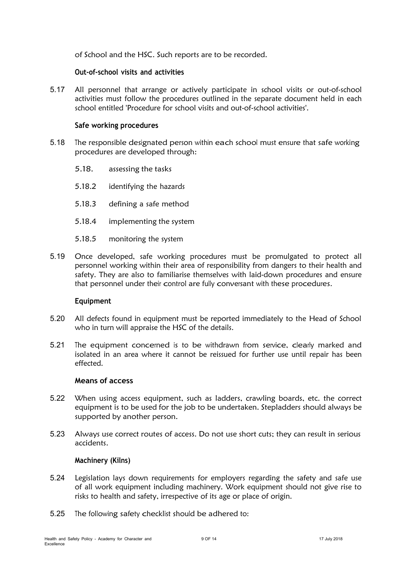of School and the HSC. Such reports are to be recorded.

#### **Out-of-school visits and activities**

All personnel that arrange or actively participate in school visits or out-of-school activities must follow the procedures outlined in the separate document held in each school entitled 'Procedure for school visits and out-of-school activities'. 5.17

#### **Safe working procedures**

- The responsible designated person within each school must ensure that safe working procedures are developed through: 5.18
	- 5.18. assessing the tasks
	- 5.18.2 identifying the hazards
	- 5.18.3 defining a safe method
	- 5.18.4 implementing the system
	- 5.18.5 monitoring the system
- Once developed, safe working procedures must be promulgated to protect all personnel working within their area of responsibility from dangers to their health and safety. They are also to familiarise themselves with laid-down procedures and ensure that personnel under their control are fully conversant with these procedures. 5.19

## **Equipment**

- All defects found in equipment must be reported immediately to the Head of School who in turn will appraise the HSC of the details. 5.20
- 5.21 The equipment concerned is to be withdrawn from service, clearly marked and isolated in an area where it cannot be reissued for further use until repair has been effected.

## **Means of access**

- When using access equipment, such as ladders, crawling boards, etc. the correct equipment is to be used for the job to be undertaken. Stepladders should always be supported by another person. 5.22
- Always use correct routes of access. Do not use short cuts; they can result in serious accidents. 5.23

## **Machinery (Kilns)**

- 5.24 Legislation lays down requirements for employers regarding the safety and safe use of all work equipment including machinery. Work equipment should not give rise to risks to health and safety, irrespective of its age or place of origin.
- 5.25 The following safety checklist should be adhered to: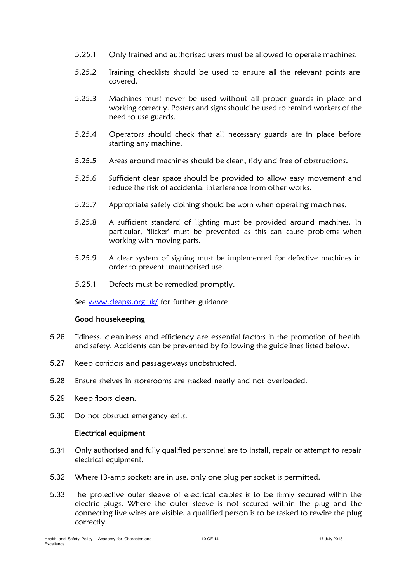- 5.25.1 Only trained and authorised users must be allowed to operate machines.
- 5.25.2 Training checklists should be used to ensure all the relevant points are covered.
- 5.25.3 Machines must never be used without all proper guards in place and working correctly. Posters and signs should be used to remind workers of the need to use guards.
- 5.25.4 Operators should check that all necessary guards are in place before starting any machine.
- 5.25.5 Areas around machines should be clean, tidy and free of obstructions.
- 5.25.6 Sufficient clear space should be provided to allow easy movement and reduce the risk of accidental interference from other works.
- 5.25.7 Appropriate safety clothing should be worn when operating machines.
- 5.25.8 A sufficient standard of lighting must be provided around machines. In particular, 'flicker' must be prevented as this can cause problems when working with moving parts.
- 5.25.9 A clear system of signing must be implemented for defective machines in order to prevent unauthorised use.
- 5.25.1 Defects must be remedied promptly.

See [www.cleapss.org.uk/](http://www.cleapss.org.uk/) for further guidance

## **Good housekeeping**

- 5.26 Tidiness, cleanliness and efficiency are essential factors in the promotion of health and safety. Accidents can be prevented by following the guidelines listed below.
- 5.27 Keep corridors and passageways unobstructed.
- 5.28 Ensure shelves in storerooms are stacked neatly and not overloaded.
- 5.29 Keep floors clean.
- 5.30 Do not obstruct emergency exits.

## **Electrical equipment**

- Only authorised and fully qualified personnel are to install, repair or attempt to repair electrical equipment. 5.31
- 5.32 Where 13-amp sockets are in use, only one plug per socket is permitted.
- 5.33 The protective outer sleeve of electrical cables is to be firmly secured within the electric plugs. Where the outer sleeve is not secured within the plug and the connecting live wires are visible, a qualified person is to be tasked to rewire the plug correctly.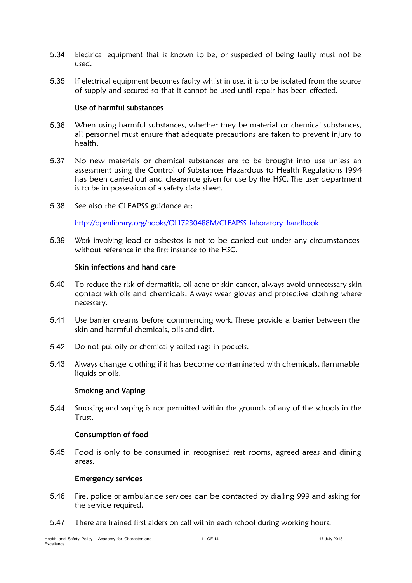- 5.34 Electrical equipment that is known to be, or suspected of being faulty must not be used.
- If electrical equipment becomes faulty whilst in use, it is to be isolated from the source of supply and secured so that it cannot be used until repair has been effected. 5.35

#### **Use of harmful substances**

- 5.36 When using harmful substances, whether they be material or chemical substances, all personnel must ensure that adequate precautions are taken to prevent injury to health.
- No new materials or chemical substances are to be brought into use unless an assessment using the Control of Substances Hazardous to Health Regulations 1994 has been carried out and clearance given for use by the HSC. The user department is to be in possession of a safety data sheet. 5.37
- 5.38 See also the CLEAPSS guidance at:

[http://openlibrary.org/books/OL17230488M/CLEAPSS\\_laboratory\\_handbook](http://openlibrary.org/books/OL17230488M/CLEAPSS_laboratory_handbook)

Work involving lead or asbestos is not to be carried out under any circumstances without reference in the first instance to the HSC. 5.39

#### **Skin infections and hand care**

- To reduce the risk of dermatitis, oil acne or skin cancer, always avoid unnecessary skin contact with oils and chemicals. Always wear gloves and protective clothing where necessary. 5.40
- 5.41 Use barrier creams before commencing work. These provide a barrier between the skin and harmful chemicals, oils and dirt.
- 5.42 Do not put oily or chemically soiled rags in pockets.
- Always change clothing if it has become contaminated with chemicals, flammable liquids or oils. 5.43

#### **Smoking and Vaping**

5.44 Smoking and vaping is not permitted within the grounds of any of the schools in the Trust.

## **Consumption of food**

Food is only to be consumed in recognised rest rooms, agreed areas and dining areas. 5.45

#### **Emergency services**

- 5.46 Fire, police or ambulance services can be contacted by dialling <sup>999</sup> and asking for the service required.
- 5.47 There are trained first aiders on call within each school during working hours.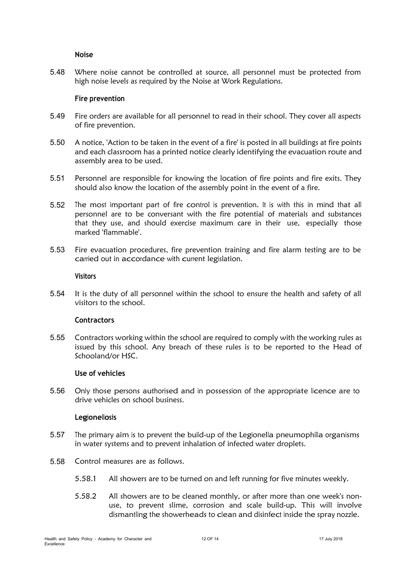#### **Noise**

Where noise cannot be controlled at source, all personnel must be protected from high noise levels as required by the Noise at Work Regulations. 5.48

#### **Fire prevention**

- 5.49 Fire orders are available for all personnel to read in their school. They cover all aspects of fire prevention.
- A notice, 'Action to be taken in the event of a fire' is posted in all buildings at fire points and each classroom has a printed notice clearly identifying the evacuation route and assembly area to be used. 5.50
- Personnel are responsible for knowing the location of fire points and fire exits. They should also know the location of the assembly point in the event of a fire. 5.51
- The most important part of fire control is prevention. It is with this in mind that all personnel are to be conversant with the fire potential of materials and substances that they use, and should exercise maximum care in their use, especially those marked 'flammable'. 5.52
- 5.53 Fire evacuation procedures, fire prevention training and fire alarm testing are to be carried out in accordance with current legislation.

#### **Visitors**

It is the duty of all personnel within the school to ensure the health and safety of all visitors to the school. 5.54

## **Contractors**

5.55 Contractors working within the school are required to comply with the working rules as issued by this school. Any breach of these rules is to be reported to the Head of Schooland/or HSC.

#### **Use of vehicles**

Only those persons authorised and in possession of the appropriate licence are to drive vehicles on school business. 5.56

#### **Legionellosis**

- The primary aim is to prevent the build-up of the Legionella pneumophilla organisms in water systems and to prevent inhalation of infected water droplets. 5.57
- 5.58 Control measures are as follows.
	- 5.58.1 All showers are to be turned on and left running for five minutes weekly.
	- 5.58.2 All showers are to be cleaned monthly, or after more than one week's nonuse, to prevent slime, corrosion and scale build-up. This will involve dismantling the showerheads to clean and disinfect inside the spray nozzle.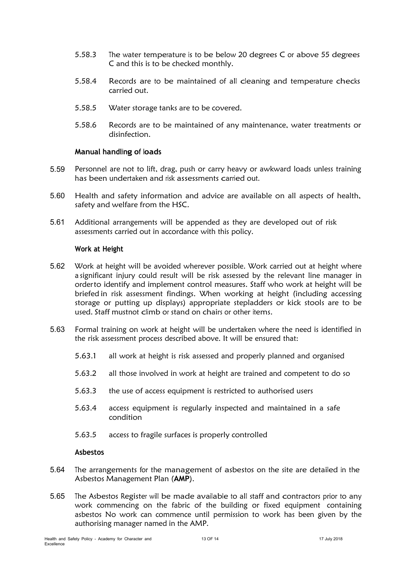- 5.58.3 The water temperature is to be below 20 degrees C or above 55 degrees C and this is to be checked monthly.
- 5.58.4 Records are to be maintained of all cleaning and temperature checks carried out.
- 5.58.5 Water storage tanks are to be covered.
- 5.58.6 Records are to be maintained of any maintenance, water treatments or disinfection.

## **Manual handling of loads**

- Personnel are not to lift, drag, push or carry heavy or awkward loads unless training has been undertaken and risk assessments carried out. 5.59
- 5.60 Health and safety information and advice are available on all aspects of health, safety and welfare from the HSC.
- Additional arrangements will be appended as they are developed out of risk assessments carried out in accordance with this policy. 5.61

## **Work at Height**

- 5.62 Work at height will be avoided wherever possible. Work carried out at height where a significant injury could result will be risk assessed by the relevant line manager in orderto identify and implement control measures. Staff who work at height will be briefed in risk assessment findings. When working at height (including accessing storage or putting up displays) appropriate stepladders or kick stools are to be used. Staff mustnot climb or stand on chairs or other items.
- 5.63 Formal training on work at height will be undertaken where the need is identified in the risk assessment process described above. It will be ensured that:
	- 5.63.1 all work at height is risk assessed and properly planned and organised
	- 5.63.2 all those involved in work at height are trained and competent to do so
	- 5.63.3 the use of access equipment is restricted to authorised users
	- 5.63.4 access equipment is regularly inspected and maintained in a safe condition
	- 5.63.5 access to fragile surfaces is properly controlled

#### **Asbestos**

- 5.64 The arrangements for the management of asbestos on the site are detailed in the Asbestos Management Plan (**AMP**).
- 5.65 The Asbestos Register will be made available to all staff and contractors prior to any work commencing on the fabric of the building or fixed equipment containing asbestos No work can commence until permission to work has been given by the authorising manager named in the AMP.